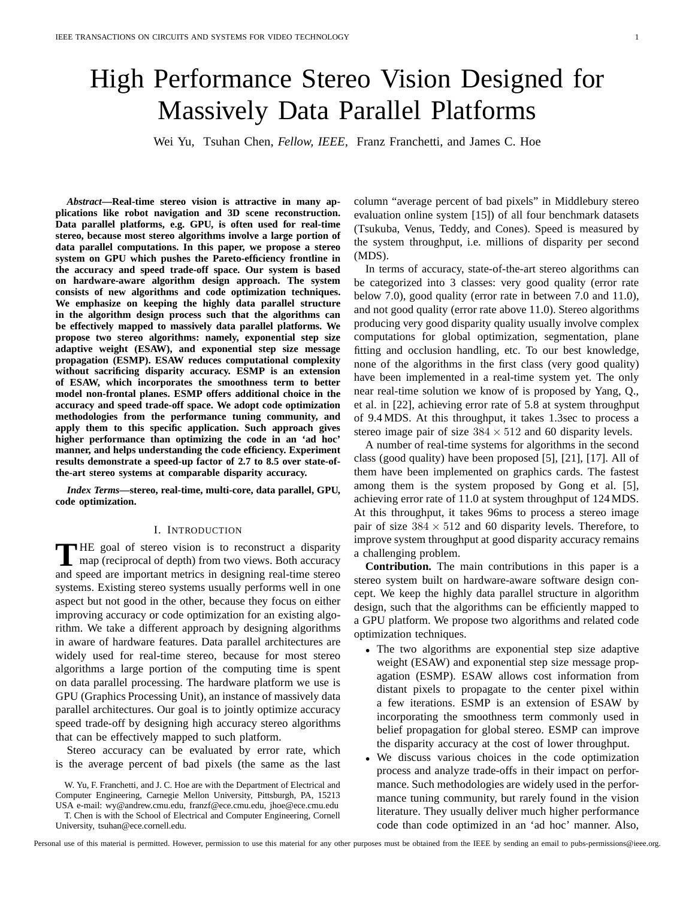# High Performance Stereo Vision Designed for Massively Data Parallel Platforms

Wei Yu, Tsuhan Chen, *Fellow, IEEE,* Franz Franchetti, and James C. Hoe

*Abstract***—Real-time stereo vision is attractive in many applications like robot navigation and 3D scene reconstruction. Data parallel platforms, e.g. GPU, is often used for real-time stereo, because most stereo algorithms involve a large portion of data parallel computations. In this paper, we propose a stereo system on GPU which pushes the Pareto-efficiency frontline in the accuracy and speed trade-off space. Our system is based on hardware-aware algorithm design approach. The system consists of new algorithms and code optimization techniques. We emphasize on keeping the highly data parallel structure in the algorithm design process such that the algorithms can be effectively mapped to massively data parallel platforms. We propose two stereo algorithms: namely, exponential step size adaptive weight (ESAW), and exponential step size message propagation (ESMP). ESAW reduces computational complexity without sacrificing disparity accuracy. ESMP is an extension of ESAW, which incorporates the smoothness term to better model non-frontal planes. ESMP offers additional choice in the accuracy and speed trade-off space. We adopt code optimization methodologies from the performance tuning community, and apply them to this specific application. Such approach gives higher performance than optimizing the code in an 'ad hoc' manner, and helps understanding the code efficiency. Experiment results demonstrate a speed-up factor of 2.7 to 8.5 over state-ofthe-art stereo systems at comparable disparity accuracy.**

*Index Terms***—stereo, real-time, multi-core, data parallel, GPU, code optimization.**

## I. INTRODUCTION

THE goal of stereo vision is to reconstruct a disparity map (reciprocal of depth) from two views. Both accuracy map (reciprocal of depth) from two views. Both accuracy and speed are important metrics in designing real-time stereo systems. Existing stereo systems usually performs well in one aspect but not good in the other, because they focus on either improving accuracy or code optimization for an existing algorithm. We take a different approach by designing algorithms in aware of hardware features. Data parallel architectures are widely used for real-time stereo, because for most stereo algorithms a large portion of the computing time is spent on data parallel processing. The hardware platform we use is GPU (Graphics Processing Unit), an instance of massively data parallel architectures. Our goal is to jointly optimize accuracy speed trade-off by designing high accuracy stereo algorithms that can be effectively mapped to such platform.

Stereo accuracy can be evaluated by error rate, which is the average percent of bad pixels (the same as the last

W. Yu, F. Franchetti, and J. C. Hoe are with the Department of Electrical and Computer Engineering, Carnegie Mellon University, Pittsburgh, PA, 15213 USA e-mail: wy@andrew.cmu.edu, franzf@ece.cmu.edu, jhoe@ece.cmu.edu

T. Chen is with the School of Electrical and Computer Engineering, Cornell University, tsuhan@ece.cornell.edu.

column "average percent of bad pixels" in Middlebury stereo evaluation online system [15]) of all four benchmark datasets (Tsukuba, Venus, Teddy, and Cones). Speed is measured by the system throughput, i.e. millions of disparity per second (MDS).

In terms of accuracy, state-of-the-art stereo algorithms can be categorized into 3 classes: very good quality (error rate below 7.0), good quality (error rate in between 7.0 and 11.0), and not good quality (error rate above 11.0). Stereo algorithms producing very good disparity quality usually involve complex computations for global optimization, segmentation, plane fitting and occlusion handling, etc. To our best knowledge, none of the algorithms in the first class (very good quality) have been implemented in a real-time system yet. The only near real-time solution we know of is proposed by Yang, Q., et al. in [22], achieving error rate of 5.8 at system throughput of 9.4 MDS. At this throughput, it takes 1.3sec to process a stereo image pair of size  $384 \times 512$  and 60 disparity levels.

A number of real-time systems for algorithms in the second class (good quality) have been proposed [5], [21], [17]. All of them have been implemented on graphics cards. The fastest among them is the system proposed by Gong et al. [5], achieving error rate of 11.0 at system throughput of 124 MDS. At this throughput, it takes 96ms to process a stereo image pair of size  $384 \times 512$  and 60 disparity levels. Therefore, to improve system throughput at good disparity accuracy remains a challenging problem.

**Contribution.** The main contributions in this paper is a stereo system built on hardware-aware software design concept. We keep the highly data parallel structure in algorithm design, such that the algorithms can be efficiently mapped to a GPU platform. We propose two algorithms and related code optimization techniques.

- The two algorithms are exponential step size adaptive weight (ESAW) and exponential step size message propagation (ESMP). ESAW allows cost information from distant pixels to propagate to the center pixel within a few iterations. ESMP is an extension of ESAW by incorporating the smoothness term commonly used in belief propagation for global stereo. ESMP can improve the disparity accuracy at the cost of lower throughput.
- We discuss various choices in the code optimization process and analyze trade-offs in their impact on performance. Such methodologies are widely used in the performance tuning community, but rarely found in the vision literature. They usually deliver much higher performance code than code optimized in an 'ad hoc' manner. Also,

Personal use of this material is permitted. However, permission to use this material for any other purposes must be obtained from the IEEE by sending an email to pubs-permissions@ieee.org.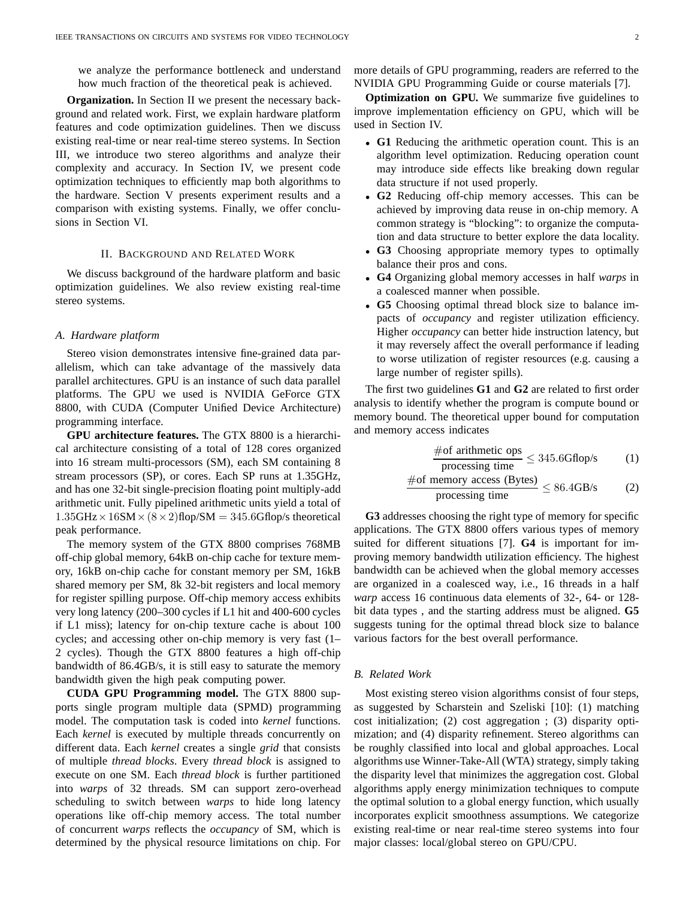we analyze the performance bottleneck and understand how much fraction of the theoretical peak is achieved.

**Organization.** In Section II we present the necessary background and related work. First, we explain hardware platform features and code optimization guidelines. Then we discuss existing real-time or near real-time stereo systems. In Section III, we introduce two stereo algorithms and analyze their complexity and accuracy. In Section IV, we present code optimization techniques to efficiently map both algorithms to the hardware. Section V presents experiment results and a comparison with existing systems. Finally, we offer conclusions in Section VI.

## II. BACKGROUND AND RELATED WORK

We discuss background of the hardware platform and basic optimization guidelines. We also review existing real-time stereo systems.

## *A. Hardware platform*

Stereo vision demonstrates intensive fine-grained data parallelism, which can take advantage of the massively data parallel architectures. GPU is an instance of such data parallel platforms. The GPU we used is NVIDIA GeForce GTX 8800, with CUDA (Computer Unified Device Architecture) programming interface.

**GPU architecture features.** The GTX 8800 is a hierarchical architecture consisting of a total of 128 cores organized into 16 stream multi-processors (SM), each SM containing 8 stream processors (SP), or cores. Each SP runs at 1.35GHz, and has one 32-bit single-precision floating point multiply-add arithmetic unit. Fully pipelined arithmetic units yield a total of  $1.35\text{GHz} \times 16\text{SM} \times (8 \times 2)\text{flop}/\text{SM} = 345.6\text{Gflop/s}$  theoretical peak performance.

The memory system of the GTX 8800 comprises 768MB off-chip global memory, 64kB on-chip cache for texture memory, 16kB on-chip cache for constant memory per SM, 16kB shared memory per SM, 8k 32-bit registers and local memory for register spilling purpose. Off-chip memory access exhibits very long latency (200–300 cycles if L1 hit and 400-600 cycles if L1 miss); latency for on-chip texture cache is about 100 cycles; and accessing other on-chip memory is very fast (1– 2 cycles). Though the GTX 8800 features a high off-chip bandwidth of 86.4GB/s, it is still easy to saturate the memory bandwidth given the high peak computing power.

**CUDA GPU Programming model.** The GTX 8800 supports single program multiple data (SPMD) programming model. The computation task is coded into *kernel* functions. Each *kernel* is executed by multiple threads concurrently on different data. Each *kernel* creates a single *grid* that consists of multiple *thread blocks*. Every *thread block* is assigned to execute on one SM. Each *thread block* is further partitioned into *warps* of 32 threads. SM can support zero-overhead scheduling to switch between *warps* to hide long latency operations like off-chip memory access. The total number of concurrent *warps* reflects the *occupancy* of SM, which is determined by the physical resource limitations on chip. For

more details of GPU programming, readers are referred to the NVIDIA GPU Programming Guide or course materials [7].

**Optimization on GPU.** We summarize five guidelines to improve implementation efficiency on GPU, which will be used in Section IV.

- **G1** Reducing the arithmetic operation count. This is an algorithm level optimization. Reducing operation count may introduce side effects like breaking down regular data structure if not used properly.
- **G2** Reducing off-chip memory accesses. This can be achieved by improving data reuse in on-chip memory. A common strategy is "blocking": to organize the computation and data structure to better explore the data locality.
- **G3** Choosing appropriate memory types to optimally balance their pros and cons.
- **G4** Organizing global memory accesses in half *warps* in a coalesced manner when possible.
- **G5** Choosing optimal thread block size to balance impacts of *occupancy* and register utilization efficiency. Higher *occupancy* can better hide instruction latency, but it may reversely affect the overall performance if leading to worse utilization of register resources (e.g. causing a large number of register spills).

The first two guidelines **G1** and **G2** are related to first order analysis to identify whether the program is compute bound or memory bound. The theoretical upper bound for computation and memory access indicates

$$
\frac{\text{\#of arithmetic ops}}{\text{processing time}} \leq 345.66 \text{flop/s} \tag{1}
$$

$$
\frac{\text{\#of memory access (Bytes)}}{\text{processing time}} \le 86.4 \text{GB/s} \tag{2}
$$

**G3** addresses choosing the right type of memory for specific applications. The GTX 8800 offers various types of memory suited for different situations [7]. **G4** is important for improving memory bandwidth utilization efficiency. The highest bandwidth can be achieved when the global memory accesses are organized in a coalesced way, i.e., 16 threads in a half *warp* access 16 continuous data elements of 32-, 64- or 128 bit data types , and the starting address must be aligned. **G5** suggests tuning for the optimal thread block size to balance various factors for the best overall performance.

### *B. Related Work*

Most existing stereo vision algorithms consist of four steps, as suggested by Scharstein and Szeliski [10]: (1) matching cost initialization; (2) cost aggregation ; (3) disparity optimization; and (4) disparity refinement. Stereo algorithms can be roughly classified into local and global approaches. Local algorithms use Winner-Take-All (WTA) strategy, simply taking the disparity level that minimizes the aggregation cost. Global algorithms apply energy minimization techniques to compute the optimal solution to a global energy function, which usually incorporates explicit smoothness assumptions. We categorize existing real-time or near real-time stereo systems into four major classes: local/global stereo on GPU/CPU.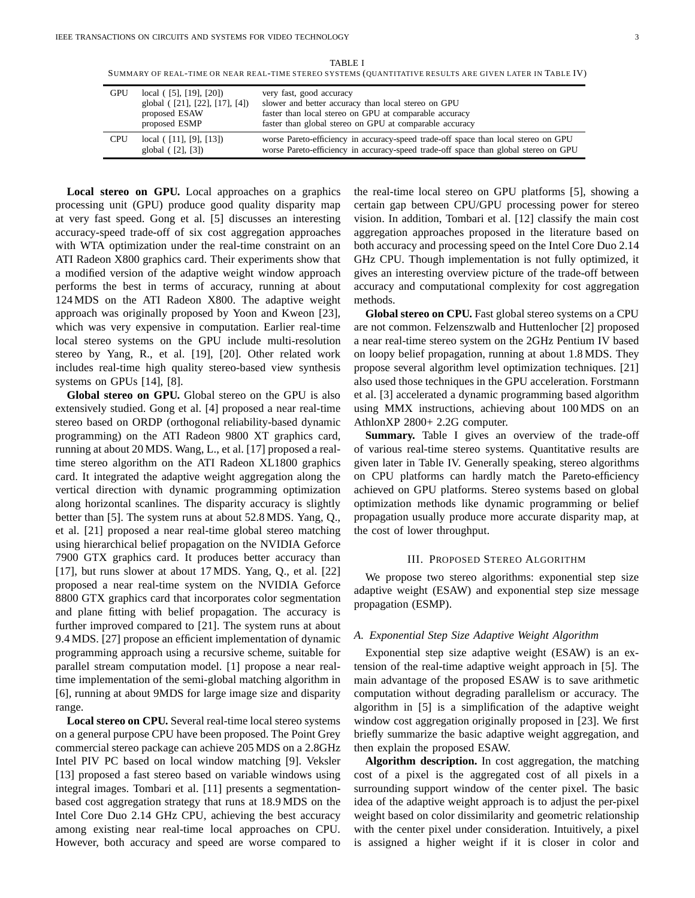TABLE I SUMMARY OF REAL-TIME OR NEAR REAL-TIME STEREO SYSTEMS (QUANTITATIVE RESULTS ARE GIVEN LATER IN TABLE IV)

| GPU        | local $(5, 19, 20)$<br>global ([21], [22], [17], [4])<br>proposed ESAW<br>proposed ESMP | very fast, good accuracy<br>slower and better accuracy than local stereo on GPU<br>faster than local stereo on GPU at comparable accuracy<br>faster than global stereo on GPU at comparable accuracy |
|------------|-----------------------------------------------------------------------------------------|------------------------------------------------------------------------------------------------------------------------------------------------------------------------------------------------------|
| <b>CPU</b> | local $($ [11], [9], [13])<br>global $(2, 3)$                                           | worse Pareto-efficiency in accuracy-speed trade-off space than local stereo on GPU<br>worse Pareto-efficiency in accuracy-speed trade-off space than global stereo on GPU                            |

**Local stereo on GPU.** Local approaches on a graphics processing unit (GPU) produce good quality disparity map at very fast speed. Gong et al. [5] discusses an interesting accuracy-speed trade-off of six cost aggregation approaches with WTA optimization under the real-time constraint on an ATI Radeon X800 graphics card. Their experiments show that a modified version of the adaptive weight window approach performs the best in terms of accuracy, running at about 124 MDS on the ATI Radeon X800. The adaptive weight approach was originally proposed by Yoon and Kweon [23], which was very expensive in computation. Earlier real-time local stereo systems on the GPU include multi-resolution stereo by Yang, R., et al. [19], [20]. Other related work includes real-time high quality stereo-based view synthesis systems on GPUs [14], [8].

**Global stereo on GPU.** Global stereo on the GPU is also extensively studied. Gong et al. [4] proposed a near real-time stereo based on ORDP (orthogonal reliability-based dynamic programming) on the ATI Radeon 9800 XT graphics card, running at about 20 MDS. Wang, L., et al. [17] proposed a realtime stereo algorithm on the ATI Radeon XL1800 graphics card. It integrated the adaptive weight aggregation along the vertical direction with dynamic programming optimization along horizontal scanlines. The disparity accuracy is slightly better than [5]. The system runs at about 52.8 MDS. Yang, Q., et al. [21] proposed a near real-time global stereo matching using hierarchical belief propagation on the NVIDIA Geforce 7900 GTX graphics card. It produces better accuracy than [17], but runs slower at about 17 MDS. Yang, O., et al. [22] proposed a near real-time system on the NVIDIA Geforce 8800 GTX graphics card that incorporates color segmentation and plane fitting with belief propagation. The accuracy is further improved compared to [21]. The system runs at about 9.4 MDS. [27] propose an efficient implementation of dynamic programming approach using a recursive scheme, suitable for parallel stream computation model. [1] propose a near realtime implementation of the semi-global matching algorithm in [6], running at about 9MDS for large image size and disparity range.

**Local stereo on CPU.** Several real-time local stereo systems on a general purpose CPU have been proposed. The Point Grey commercial stereo package can achieve 205 MDS on a 2.8GHz Intel PIV PC based on local window matching [9]. Veksler [13] proposed a fast stereo based on variable windows using integral images. Tombari et al. [11] presents a segmentationbased cost aggregation strategy that runs at 18.9 MDS on the Intel Core Duo 2.14 GHz CPU, achieving the best accuracy among existing near real-time local approaches on CPU. However, both accuracy and speed are worse compared to

the real-time local stereo on GPU platforms [5], showing a certain gap between CPU/GPU processing power for stereo vision. In addition, Tombari et al. [12] classify the main cost aggregation approaches proposed in the literature based on both accuracy and processing speed on the Intel Core Duo 2.14 GHz CPU. Though implementation is not fully optimized, it gives an interesting overview picture of the trade-off between accuracy and computational complexity for cost aggregation methods.

**Global stereo on CPU.** Fast global stereo systems on a CPU are not common. Felzenszwalb and Huttenlocher [2] proposed a near real-time stereo system on the 2GHz Pentium IV based on loopy belief propagation, running at about 1.8 MDS. They propose several algorithm level optimization techniques. [21] also used those techniques in the GPU acceleration. Forstmann et al. [3] accelerated a dynamic programming based algorithm using MMX instructions, achieving about 100 MDS on an AthlonXP 2800+ 2.2G computer.

**Summary.** Table I gives an overview of the trade-off of various real-time stereo systems. Quantitative results are given later in Table IV. Generally speaking, stereo algorithms on CPU platforms can hardly match the Pareto-efficiency achieved on GPU platforms. Stereo systems based on global optimization methods like dynamic programming or belief propagation usually produce more accurate disparity map, at the cost of lower throughput.

## III. PROPOSED STEREO ALGORITHM

We propose two stereo algorithms: exponential step size adaptive weight (ESAW) and exponential step size message propagation (ESMP).

#### *A. Exponential Step Size Adaptive Weight Algorithm*

Exponential step size adaptive weight (ESAW) is an extension of the real-time adaptive weight approach in [5]. The main advantage of the proposed ESAW is to save arithmetic computation without degrading parallelism or accuracy. The algorithm in [5] is a simplification of the adaptive weight window cost aggregation originally proposed in [23]. We first briefly summarize the basic adaptive weight aggregation, and then explain the proposed ESAW.

**Algorithm description.** In cost aggregation, the matching cost of a pixel is the aggregated cost of all pixels in a surrounding support window of the center pixel. The basic idea of the adaptive weight approach is to adjust the per-pixel weight based on color dissimilarity and geometric relationship with the center pixel under consideration. Intuitively, a pixel is assigned a higher weight if it is closer in color and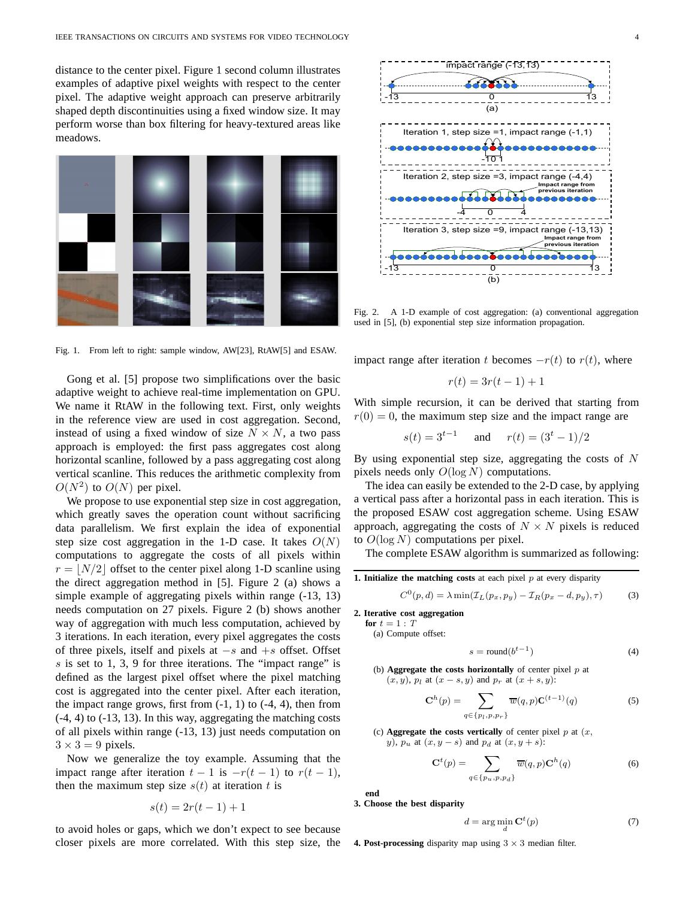distance to the center pixel. Figure 1 second column illustrates examples of adaptive pixel weights with respect to the center pixel. The adaptive weight approach can preserve arbitrarily shaped depth discontinuities using a fixed window size. It may perform worse than box filtering for heavy-textured areas like meadows.



Fig. 1. From left to right: sample window, AW[23], RtAW[5] and ESAW.

Gong et al. [5] propose two simplifications over the basic adaptive weight to achieve real-time implementation on GPU. We name it RtAW in the following text. First, only weights in the reference view are used in cost aggregation. Second, instead of using a fixed window of size  $N \times N$ , a two pass approach is employed: the first pass aggregates cost along horizontal scanline, followed by a pass aggregating cost along vertical scanline. This reduces the arithmetic complexity from  $O(N^2)$  to  $O(N)$  per pixel.

We propose to use exponential step size in cost aggregation, which greatly saves the operation count without sacrificing data parallelism. We first explain the idea of exponential step size cost aggregation in the 1-D case. It takes  $O(N)$ computations to aggregate the costs of all pixels within  $r = |N/2|$  offset to the center pixel along 1-D scanline using the direct aggregation method in [5]. Figure 2 (a) shows a simple example of aggregating pixels within range (-13, 13) needs computation on 27 pixels. Figure 2 (b) shows another way of aggregation with much less computation, achieved by 3 iterations. In each iteration, every pixel aggregates the costs of three pixels, itself and pixels at  $-s$  and  $+s$  offset. Offset s is set to 1, 3, 9 for three iterations. The "impact range" is defined as the largest pixel offset where the pixel matching cost is aggregated into the center pixel. After each iteration, the impact range grows, first from  $(-1, 1)$  to  $(-4, 4)$ , then from (-4, 4) to (-13, 13). In this way, aggregating the matching costs of all pixels within range (-13, 13) just needs computation on  $3 \times 3 = 9$  pixels.

Now we generalize the toy example. Assuming that the impact range after iteration  $t - 1$  is  $-r(t - 1)$  to  $r(t - 1)$ , then the maximum step size  $s(t)$  at iteration t is

$$
s(t) = 2r(t-1) + 1
$$

to avoid holes or gaps, which we don't expect to see because closer pixels are more correlated. With this step size, the



Fig. 2. A 1-D example of cost aggregation: (a) conventional aggregation used in [5], (b) exponential step size information propagation.

impact range after iteration t becomes  $-r(t)$  to  $r(t)$ , where

$$
r(t) = 3r(t-1) + 1
$$

With simple recursion, it can be derived that starting from  $r(0) = 0$ , the maximum step size and the impact range are

$$
s(t) = 3^{t-1}
$$
 and  $r(t) = (3^t - 1)/2$ 

By using exponential step size, aggregating the costs of  $N$ pixels needs only  $O(\log N)$  computations.

The idea can easily be extended to the 2-D case, by applying a vertical pass after a horizontal pass in each iteration. This is the proposed ESAW cost aggregation scheme. Using ESAW approach, aggregating the costs of  $N \times N$  pixels is reduced to  $O(\log N)$  computations per pixel.

The complete ESAW algorithm is summarized as following:

**1. Initialize the matching costs** at each pixel *p* at every disparity  

$$
C^{0}(p, d) = \lambda \min(\mathcal{I}_{L}(p_{x}, p_{y}) - \mathcal{I}_{R}(p_{x} - d, p_{y}), \tau)
$$
(3)

 $s = \text{round}(b^{t-1})$ 

**2. Iterative cost aggregation for**  $t = 1 : T$ 

(a) Compute offset:

$$
\tag{4}
$$

(b) **Aggregate the costs horizontally** of center pixel p at  $(x, y)$ ,  $p_l$  at  $(x - s, y)$  and  $p_r$  at  $(x + s, y)$ :

$$
\mathbf{C}^{h}(p) = \sum_{q \in \{p_l, p, p_r\}} \overline{w}(q, p) \mathbf{C}^{(t-1)}(q) \tag{5}
$$

(c) **Aggregate the costs vertically** of center pixel  $p$  at  $(x,$ y),  $p_u$  at  $(x, y - s)$  and  $p_d$  at  $(x, y + s)$ :

$$
\mathbf{C}^t(p) = \sum_{q \in \{p_u, p, p_d\}} \overline{w}(q, p) \mathbf{C}^h(q)
$$
 (6)

**end**

**3. Choose the best disparity**

$$
d = \arg\min_{d} \mathbf{C}^{t}(p) \tag{7}
$$

**4. Post-processing** disparity map using  $3 \times 3$  median filter.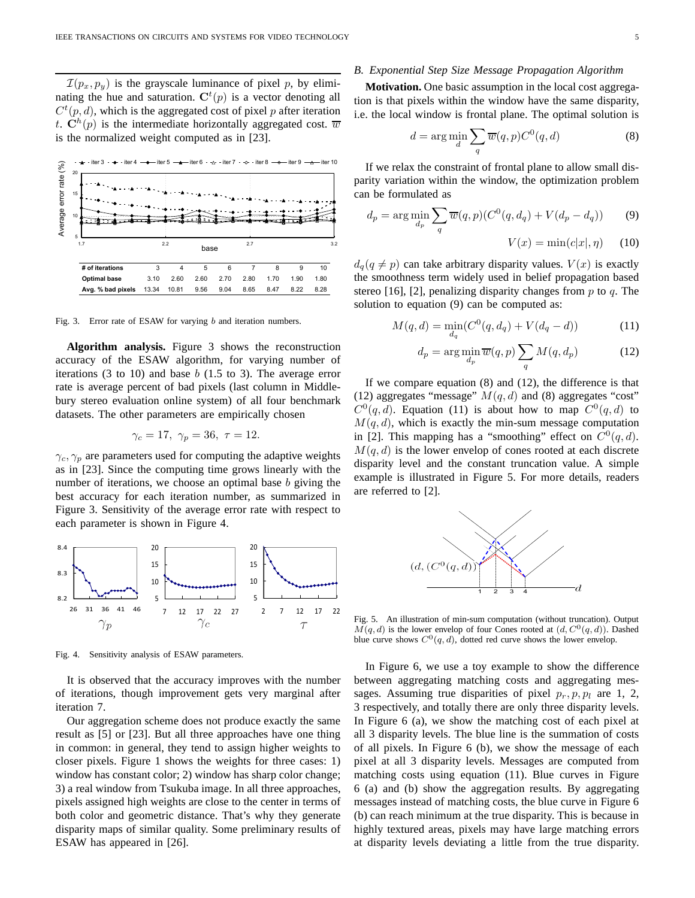$\mathcal{I}(p_x, p_y)$  is the grayscale luminance of pixel p, by eliminating the hue and saturation.  $\mathbf{C}^{t}(p)$  is a vector denoting all  $C<sup>t</sup>(p, d)$ , which is the aggregated cost of pixel p after iteration t.  $\mathbf{C}^h(p)$  is the intermediate horizontally aggregated cost.  $\overline{w}$ is the normalized weight computed as in [23].



Fig. 3. Error rate of ESAW for varying b and iteration numbers.

**Algorithm analysis.** Figure 3 shows the reconstruction accuracy of the ESAW algorithm, for varying number of iterations (3 to 10) and base  $b$  (1.5 to 3). The average error rate is average percent of bad pixels (last column in Middlebury stereo evaluation online system) of all four benchmark datasets. The other parameters are empirically chosen

$$
\gamma_c = 17, \ \gamma_p = 36, \ \tau = 12.
$$

 $\gamma_c, \gamma_p$  are parameters used for computing the adaptive weights as in [23]. Since the computing time grows linearly with the number of iterations, we choose an optimal base  $b$  giving the best accuracy for each iteration number, as summarized in Figure 3. Sensitivity of the average error rate with respect to each parameter is shown in Figure 4.



Fig. 4. Sensitivity analysis of ESAW parameters.

It is observed that the accuracy improves with the number of iterations, though improvement gets very marginal after iteration 7.

Our aggregation scheme does not produce exactly the same result as [5] or [23]. But all three approaches have one thing in common: in general, they tend to assign higher weights to closer pixels. Figure 1 shows the weights for three cases: 1) window has constant color; 2) window has sharp color change; 3) a real window from Tsukuba image. In all three approaches, pixels assigned high weights are close to the center in terms of both color and geometric distance. That's why they generate disparity maps of similar quality. Some preliminary results of ESAW has appeared in [26].

#### *B. Exponential Step Size Message Propagation Algorithm*

**Motivation.** One basic assumption in the local cost aggregation is that pixels within the window have the same disparity, i.e. the local window is frontal plane. The optimal solution is

$$
d = \arg\min_{d} \sum_{q} \overline{w}(q, p) C^{0}(q, d)
$$
\n(8)

If we relax the constraint of frontal plane to allow small disparity variation within the window, the optimization problem can be formulated as

$$
d_p = \arg\min_{d_p} \sum_q \overline{w}(q, p) (C^0(q, d_q) + V(d_p - d_q)) \tag{9}
$$

$$
V(x) = \min(c|x|, \eta) \quad (10)
$$

 $d_q(q \neq p)$  can take arbitrary disparity values.  $V(x)$  is exactly the smoothness term widely used in belief propagation based stereo [16], [2], penalizing disparity changes from  $p$  to  $q$ . The solution to equation (9) can be computed as:

$$
M(q,d) = \min_{d_q} (C^0(q, d_q) + V(d_q - d))
$$
 (11)

$$
d_p = \arg\min_{d_p} \overline{w}(q, p) \sum_q M(q, d_p)
$$
 (12)

If we compare equation (8) and (12), the difference is that (12) aggregates "message"  $M(q, d)$  and (8) aggregates "cost"  $C^0(q, d)$ . Equation (11) is about how to map  $C^0(q, d)$  to  $M(q, d)$ , which is exactly the min-sum message computation in [2]. This mapping has a "smoothing" effect on  $C^0(q, d)$ .  $M(q, d)$  is the lower envelop of cones rooted at each discrete disparity level and the constant truncation value. A simple example is illustrated in Figure 5. For more details, readers are referred to [2].



Fig. 5. An illustration of min-sum computation (without truncation). Output  $M(q, d)$  is the lower envelop of four Cones rooted at  $(d, C<sup>0</sup>(q, d))$ . Dashed blue curve shows  $C^0(q, d)$ , dotted red curve shows the lower envelop.

In Figure 6, we use a toy example to show the difference between aggregating matching costs and aggregating messages. Assuming true disparities of pixel  $p_r, p, p_l$  are 1, 2, 3 respectively, and totally there are only three disparity levels. In Figure 6 (a), we show the matching cost of each pixel at all 3 disparity levels. The blue line is the summation of costs of all pixels. In Figure 6 (b), we show the message of each pixel at all 3 disparity levels. Messages are computed from matching costs using equation (11). Blue curves in Figure 6 (a) and (b) show the aggregation results. By aggregating messages instead of matching costs, the blue curve in Figure 6 (b) can reach minimum at the true disparity. This is because in highly textured areas, pixels may have large matching errors at disparity levels deviating a little from the true disparity.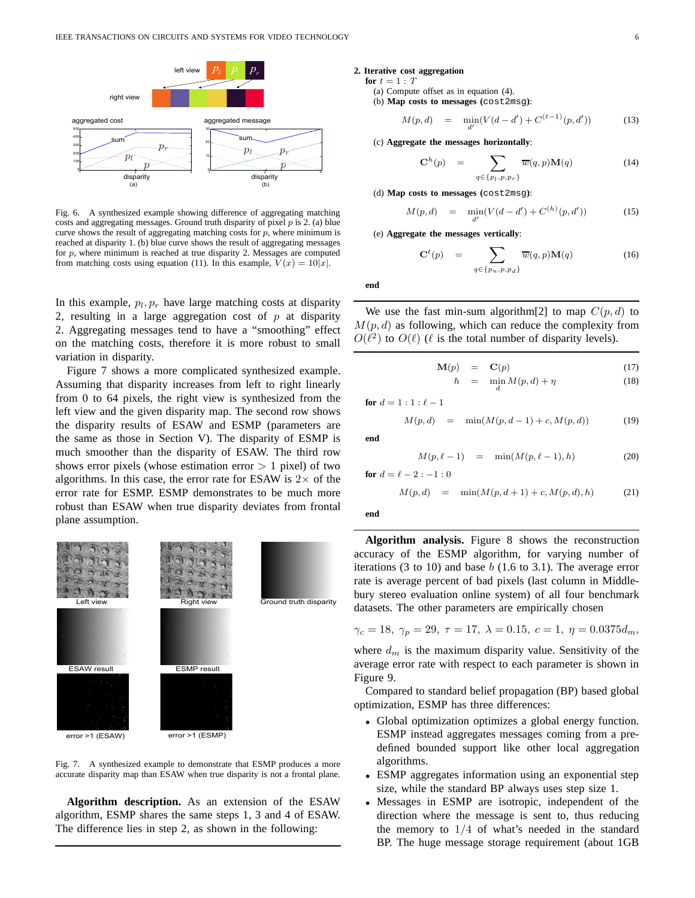

Fig. 6. A synthesized example showing difference of aggregating matching costs and aggregating messages. Ground truth disparity of pixel p is 2. (a) blue curve shows the result of aggregating matching costs for  $p$ , where minimum is reached at disparity 1. (b) blue curve shows the result of aggregating messages for  $p$ , where minimum is reached at true disparity 2. Messages are computed from matching costs using equation (11). In this example,  $V(x) = 10|x|$ .

In this example,  $p_l, p_r$  have large matching costs at disparity 2, resulting in a large aggregation cost of  $p$  at disparity 2. Aggregating messages tend to have a "smoothing" effect on the matching costs, therefore it is more robust to small variation in disparity.

Figure 7 shows a more complicated synthesized example. Assuming that disparity increases from left to right linearly from 0 to 64 pixels, the right view is synthesized from the left view and the given disparity map. The second row shows the disparity results of ESAW and ESMP (parameters are the same as those in Section V). The disparity of ESMP is much smoother than the disparity of ESAW. The third row shows error pixels (whose estimation error  $> 1$  pixel) of two algorithms. In this case, the error rate for ESAW is  $2 \times$  of the error rate for ESMP. ESMP demonstrates to be much more robust than ESAW when true disparity deviates from frontal plane assumption.



Fig. 7. A synthesized example to demonstrate that ESMP produces a more accurate disparity map than ESAW when true disparity is not a frontal plane.

**Algorithm description.** As an extension of the ESAW algorithm, ESMP shares the same steps 1, 3 and 4 of ESAW. The difference lies in step 2, as shown in the following:

#### **2. Iterative cost aggregation**

**for**  $t = 1 : T$ 

(a) Compute offset as in equation (4).

(b) **Map costs to messages (**cost2msg**)**:

$$
M(p,d) = \min_{d'} (V(d-d') + C^{(t-1)}(p,d')) \tag{13}
$$

(c) **Aggregate the messages horizontally**:

$$
\mathbf{C}^{h}(p) = \sum_{q \in \{p_l, p, p_r\}} \overline{w}(q, p) \mathbf{M}(q) \tag{14}
$$

(d) **Map costs to messages (**cost2msg**)**:

$$
M(p,d) = \min_{d'} (V(d-d') + C^{(h)}(p,d')) \tag{15}
$$

(e) **Aggregate the messages vertically**:

$$
\mathbf{C}^{t}(p) = \sum_{q \in \{p_u, p, p_d\}} \overline{w}(q, p) \mathbf{M}(q) \tag{16}
$$

**end**

We use the fast min-sum algorithm [2] to map  $C(p, d)$  to  $M(p, d)$  as following, which can reduce the complexity from  $O(\ell^2)$  to  $O(\ell)$  ( $\ell$  is the total number of disparity levels).

$$
\mathbf{M}(p) = \mathbf{C}(p) \tag{17}
$$

$$
h = \min_{d} M(p, d) + \eta \tag{18}
$$

**for**  $d = 1 : 1 : \ell - 1$ 

$$
M(p, d) = \min(M(p, d-1) + c, M(p, d)) \tag{19}
$$

**end**

$$
M(p, \ell - 1) = \min(M(p, \ell - 1), h) \tag{20}
$$

**for**  $d = \ell - 2 : -1 : 0$ 

$$
M(p,d) = \min(M(p,d+1) + c, M(p,d), h) \tag{21}
$$

**end**

**Algorithm analysis.** Figure 8 shows the reconstruction accuracy of the ESMP algorithm, for varying number of iterations (3 to 10) and base  $b$  (1.6 to 3.1). The average error rate is average percent of bad pixels (last column in Middlebury stereo evaluation online system) of all four benchmark datasets. The other parameters are empirically chosen

 $\gamma_c = 18, \ \gamma_p = 29, \ \tau = 17, \ \lambda = 0.15, \ c = 1, \ \eta = 0.0375d_m,$ 

where  $d_m$  is the maximum disparity value. Sensitivity of the average error rate with respect to each parameter is shown in Figure 9.

Compared to standard belief propagation (BP) based global optimization, ESMP has three differences:

- Global optimization optimizes a global energy function. ESMP instead aggregates messages coming from a predefined bounded support like other local aggregation algorithms.
- ESMP aggregates information using an exponential step size, while the standard BP always uses step size 1.
- Messages in ESMP are isotropic, independent of the direction where the message is sent to, thus reducing the memory to  $1/4$  of what's needed in the standard BP. The huge message storage requirement (about 1GB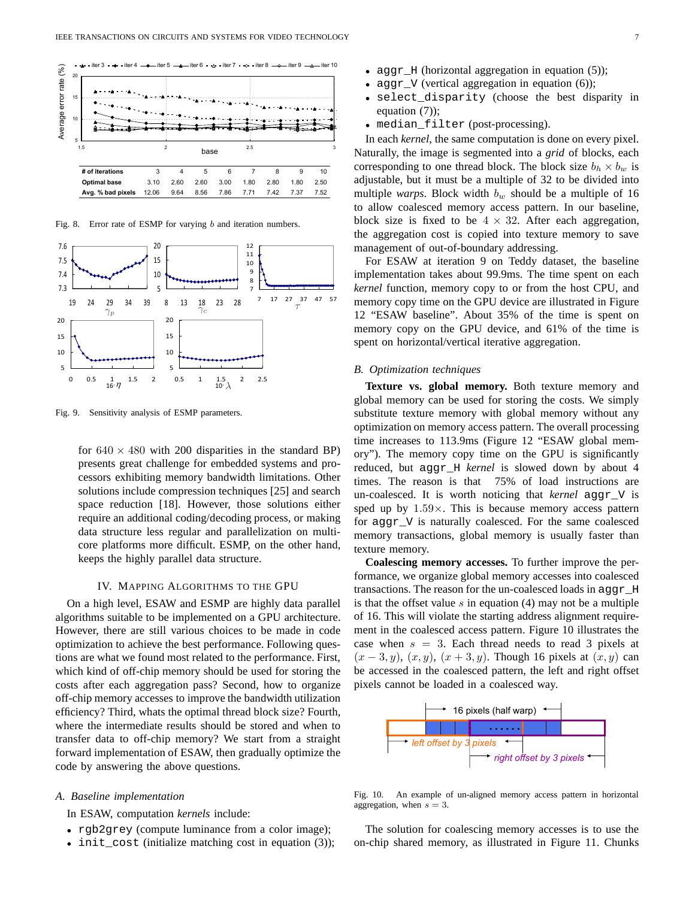

Fig. 8. Error rate of ESMP for varying b and iteration numbers.



Fig. 9. Sensitivity analysis of ESMP parameters.

for  $640 \times 480$  with 200 disparities in the standard BP) presents great challenge for embedded systems and processors exhibiting memory bandwidth limitations. Other solutions include compression techniques [25] and search space reduction [18]. However, those solutions either require an additional coding/decoding process, or making data structure less regular and parallelization on multicore platforms more difficult. ESMP, on the other hand, keeps the highly parallel data structure.

## IV. MAPPING ALGORITHMS TO THE GPU

On a high level, ESAW and ESMP are highly data parallel algorithms suitable to be implemented on a GPU architecture. However, there are still various choices to be made in code optimization to achieve the best performance. Following questions are what we found most related to the performance. First, which kind of off-chip memory should be used for storing the costs after each aggregation pass? Second, how to organize off-chip memory accesses to improve the bandwidth utilization efficiency? Third, whats the optimal thread block size? Fourth, where the intermediate results should be stored and when to transfer data to off-chip memory? We start from a straight forward implementation of ESAW, then gradually optimize the code by answering the above questions.

## *A. Baseline implementation*

In ESAW, computation *kernels* include:

- rgb2grey (compute luminance from a color image);
- init\_cost (initialize matching cost in equation (3));
- aggr\_H (horizontal aggregation in equation  $(5)$ );
- aggr $_V$  (vertical aggregation in equation (6));
- select\_disparity (choose the best disparity in equation (7));
- median\_filter (post-processing).

In each *kernel*, the same computation is done on every pixel. Naturally, the image is segmented into a *grid* of blocks, each corresponding to one thread block. The block size  $b_h \times b_w$  is adjustable, but it must be a multiple of 32 to be divided into multiple *warps*. Block width  $b_w$  should be a multiple of 16 to allow coalesced memory access pattern. In our baseline, block size is fixed to be  $4 \times 32$ . After each aggregation, the aggregation cost is copied into texture memory to save management of out-of-boundary addressing.

For ESAW at iteration 9 on Teddy dataset, the baseline implementation takes about 99.9ms. The time spent on each *kernel* function, memory copy to or from the host CPU, and memory copy time on the GPU device are illustrated in Figure 12 "ESAW baseline". About 35% of the time is spent on memory copy on the GPU device, and 61% of the time is spent on horizontal/vertical iterative aggregation.

#### *B. Optimization techniques*

**Texture vs. global memory.** Both texture memory and global memory can be used for storing the costs. We simply substitute texture memory with global memory without any optimization on memory access pattern. The overall processing time increases to 113.9ms (Figure 12 "ESAW global memory"). The memory copy time on the GPU is significantly reduced, but aggr\_H *kernel* is slowed down by about 4 times. The reason is that 75% of load instructions are un-coalesced. It is worth noticing that *kernel* aggr\_V is sped up by  $1.59\times$ . This is because memory access pattern for aggr\_V is naturally coalesced. For the same coalesced memory transactions, global memory is usually faster than texture memory.

**Coalescing memory accesses.** To further improve the performance, we organize global memory accesses into coalesced transactions. The reason for the un-coalesced loads in aggr\_H is that the offset value  $s$  in equation (4) may not be a multiple of 16. This will violate the starting address alignment requirement in the coalesced access pattern. Figure 10 illustrates the case when  $s = 3$ . Each thread needs to read 3 pixels at  $(x - 3, y)$ ,  $(x, y)$ ,  $(x + 3, y)$ . Though 16 pixels at  $(x, y)$  can be accessed in the coalesced pattern, the left and right offset pixels cannot be loaded in a coalesced way.



Fig. 10. An example of un-aligned memory access pattern in horizontal aggregation, when  $s = 3$ .

The solution for coalescing memory accesses is to use the on-chip shared memory, as illustrated in Figure 11. Chunks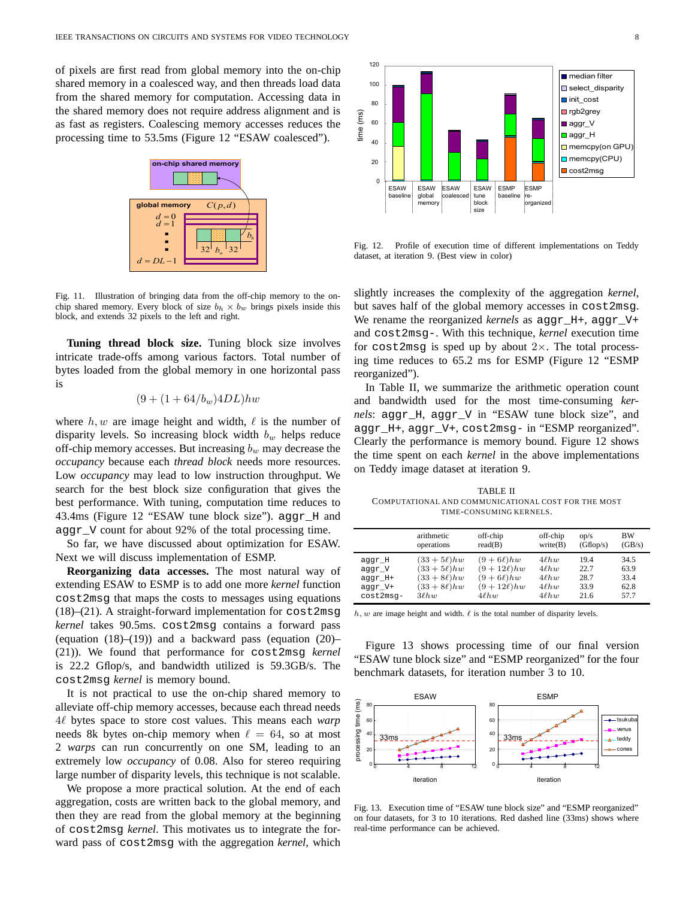of pixels are first read from global memory into the on-chip shared memory in a coalesced way, and then threads load data from the shared memory for computation. Accessing data in the shared memory does not require address alignment and is as fast as registers. Coalescing memory accesses reduces the processing time to 53.5ms (Figure 12 "ESAW coalesced").



Fig. 11. Illustration of bringing data from the off-chip memory to the onchip shared memory. Every block of size  $b_h \times b_w$  brings pixels inside this block, and extends 32 pixels to the left and right.

**Tuning thread block size.** Tuning block size involves intricate trade-offs among various factors. Total number of bytes loaded from the global memory in one horizontal pass is

$$
(9+(1+64/b_w)4DL)hw
$$

where  $h, w$  are image height and width,  $\ell$  is the number of disparity levels. So increasing block width  $b_w$  helps reduce off-chip memory accesses. But increasing  $b_w$  may decrease the *occupancy* because each *thread block* needs more resources. Low *occupancy* may lead to low instruction throughput. We search for the best block size configuration that gives the best performance. With tuning, computation time reduces to 43.4ms (Figure 12 "ESAW tune block size"). aggr\_H and aggr\_V count for about 92% of the total processing time.

So far, we have discussed about optimization for ESAW. Next we will discuss implementation of ESMP.

**Reorganizing data accesses.** The most natural way of extending ESAW to ESMP is to add one more *kernel* function cost2msg that maps the costs to messages using equations (18)–(21). A straight-forward implementation for cost2msg *kernel* takes 90.5ms. cost2msg contains a forward pass (equation  $(18)$ – $(19)$ ) and a backward pass (equation  $(20)$ – (21)). We found that performance for cost2msg *kernel* is 22.2 Gflop/s, and bandwidth utilized is 59.3GB/s. The cost2msg *kernel* is memory bound.

It is not practical to use the on-chip shared memory to alleviate off-chip memory accesses, because each thread needs 4` bytes space to store cost values. This means each *warp* needs 8k bytes on-chip memory when  $\ell = 64$ , so at most 2 *warps* can run concurrently on one SM, leading to an extremely low *occupancy* of 0.08. Also for stereo requiring large number of disparity levels, this technique is not scalable.

We propose a more practical solution. At the end of each aggregation, costs are written back to the global memory, and then they are read from the global memory at the beginning of cost2msg *kernel*. This motivates us to integrate the forward pass of cost2msg with the aggregation *kernel*, which



Fig. 12. Profile of execution time of different implementations on Teddy dataset, at iteration 9. (Best view in color)

slightly increases the complexity of the aggregation *kernel*, but saves half of the global memory accesses in cost2msg. We rename the reorganized *kernels* as aggr H+, aggr V+ and cost2msg-. With this technique, *kernel* execution time for cost2msq is sped up by about  $2 \times$ . The total processing time reduces to 65.2 ms for ESMP (Figure 12 "ESMP reorganized").

In Table II, we summarize the arithmetic operation count and bandwidth used for the most time-consuming *kernels*: aggr\_H, aggr\_V in "ESAW tune block size", and aggr\_H+, aggr\_V+, cost2msg- in "ESMP reorganized". Clearly the performance is memory bound. Figure 12 shows the time spent on each *kernel* in the above implementations on Teddy image dataset at iteration 9.

TABLE II COMPUTATIONAL AND COMMUNICATIONAL COST FOR THE MOST TIME-CONSUMING KERNELS.

|           | arithmetic     | off-chip       | off-chip   | op/s      | <b>BW</b> |
|-----------|----------------|----------------|------------|-----------|-----------|
|           | operations     | read(B)        | write(B)   | (Gflop/s) | (GB/s)    |
| aggr H    | $(33+5\ell)hw$ | $(9+6\ell)hw$  | $4\ell hw$ | 19.4      | 34.5      |
| aggr V    | $(33+5\ell)hw$ | $(9+12\ell)hw$ | 4lnw       | 22.7      | 63.9      |
| aqqr H+   | $(33+8\ell)hw$ | $(9+6\ell)hw$  | $4\ell hw$ | 28.7      | 33.4      |
| aqqr V+   | $(33+8\ell)hw$ | $(9+12\ell)hw$ | 4lnw       | 33.9      | 62.8      |
| cost2msq- | $3\ell hw$     | $4\ell hw$     | $4\ell hw$ | 21.6      | 57.7      |

 $h, w$  are image height and width.  $\ell$  is the total number of disparity levels.

Figure 13 shows processing time of our final version "ESAW tune block size" and "ESMP reorganized" for the four benchmark datasets, for iteration number 3 to 10.



Fig. 13. Execution time of "ESAW tune block size" and "ESMP reorganized" on four datasets, for 3 to 10 iterations. Red dashed line (33ms) shows where real-time performance can be achieved.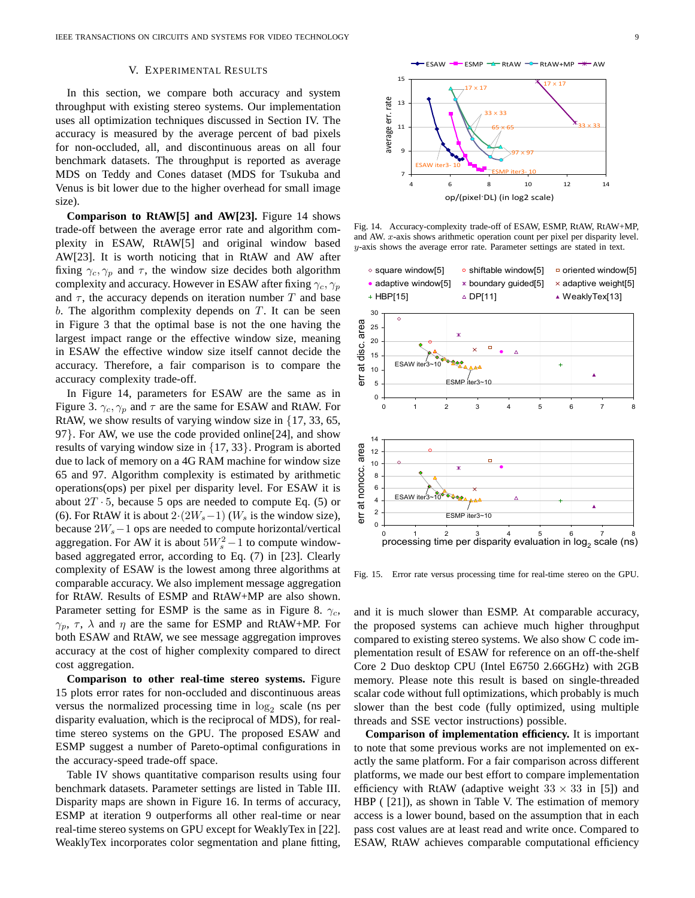# V. EXPERIMENTAL RESULTS

In this section, we compare both accuracy and system throughput with existing stereo systems. Our implementation uses all optimization techniques discussed in Section IV. The accuracy is measured by the average percent of bad pixels for non-occluded, all, and discontinuous areas on all four benchmark datasets. The throughput is reported as average MDS on Teddy and Cones dataset (MDS for Tsukuba and Venus is bit lower due to the higher overhead for small image size).

**Comparison to RtAW[5] and AW[23].** Figure 14 shows trade-off between the average error rate and algorithm complexity in ESAW, RtAW[5] and original window based AW[23]. It is worth noticing that in RtAW and AW after fixing  $\gamma_c, \gamma_p$  and  $\tau$ , the window size decides both algorithm complexity and accuracy. However in ESAW after fixing  $\gamma_c, \gamma_p$ and  $\tau$ , the accuracy depends on iteration number T and base b. The algorithm complexity depends on  $T$ . It can be seen in Figure 3 that the optimal base is not the one having the largest impact range or the effective window size, meaning in ESAW the effective window size itself cannot decide the accuracy. Therefore, a fair comparison is to compare the accuracy complexity trade-off.

In Figure 14, parameters for ESAW are the same as in Figure 3.  $\gamma_c$ ,  $\gamma_p$  and  $\tau$  are the same for ESAW and RtAW. For RtAW, we show results of varying window size in {17, 33, 65, 97}. For AW, we use the code provided online[24], and show results of varying window size in {17, 33}. Program is aborted due to lack of memory on a 4G RAM machine for window size 65 and 97. Algorithm complexity is estimated by arithmetic operations(ops) per pixel per disparity level. For ESAW it is about  $2T \cdot 5$ , because 5 ops are needed to compute Eq. (5) or (6). For RtAW it is about  $2·(2W_s-1)$  ( $W_s$  is the window size), because  $2W_s-1$  ops are needed to compute horizontal/vertical aggregation. For AW it is about  $5W_s^2 - 1$  to compute windowbased aggregated error, according to Eq. (7) in [23]. Clearly complexity of ESAW is the lowest among three algorithms at comparable accuracy. We also implement message aggregation for RtAW. Results of ESMP and RtAW+MP are also shown. Parameter setting for ESMP is the same as in Figure 8.  $\gamma_c$ ,  $\gamma_p$ ,  $\tau$ ,  $\lambda$  and  $\eta$  are the same for ESMP and RtAW+MP. For both ESAW and RtAW, we see message aggregation improves accuracy at the cost of higher complexity compared to direct cost aggregation.

**Comparison to other real-time stereo systems.** Figure 15 plots error rates for non-occluded and discontinuous areas versus the normalized processing time in  $log<sub>2</sub>$  scale (ns per disparity evaluation, which is the reciprocal of MDS), for realtime stereo systems on the GPU. The proposed ESAW and ESMP suggest a number of Pareto-optimal configurations in the accuracy-speed trade-off space.

Table IV shows quantitative comparison results using four benchmark datasets. Parameter settings are listed in Table III. Disparity maps are shown in Figure 16. In terms of accuracy, ESMP at iteration 9 outperforms all other real-time or near real-time stereo systems on GPU except for WeaklyTex in [22]. WeaklyTex incorporates color segmentation and plane fitting,



Fig. 14. Accuracy-complexity trade-off of ESAW, ESMP, RtAW, RtAW+MP, and AW. x-axis shows arithmetic operation count per pixel per disparity level. y-axis shows the average error rate. Parameter settings are stated in text.



Fig. 15. Error rate versus processing time for real-time stereo on the GPU.

and it is much slower than ESMP. At comparable accuracy, the proposed systems can achieve much higher throughput compared to existing stereo systems. We also show C code implementation result of ESAW for reference on an off-the-shelf Core 2 Duo desktop CPU (Intel E6750 2.66GHz) with 2GB memory. Please note this result is based on single-threaded scalar code without full optimizations, which probably is much slower than the best code (fully optimized, using multiple threads and SSE vector instructions) possible.

**Comparison of implementation efficiency.** It is important to note that some previous works are not implemented on exactly the same platform. For a fair comparison across different platforms, we made our best effort to compare implementation efficiency with RtAW (adaptive weight  $33 \times 33$  in [5]) and HBP ( $[21]$ ), as shown in Table V. The estimation of memory access is a lower bound, based on the assumption that in each pass cost values are at least read and write once. Compared to ESAW, RtAW achieves comparable computational efficiency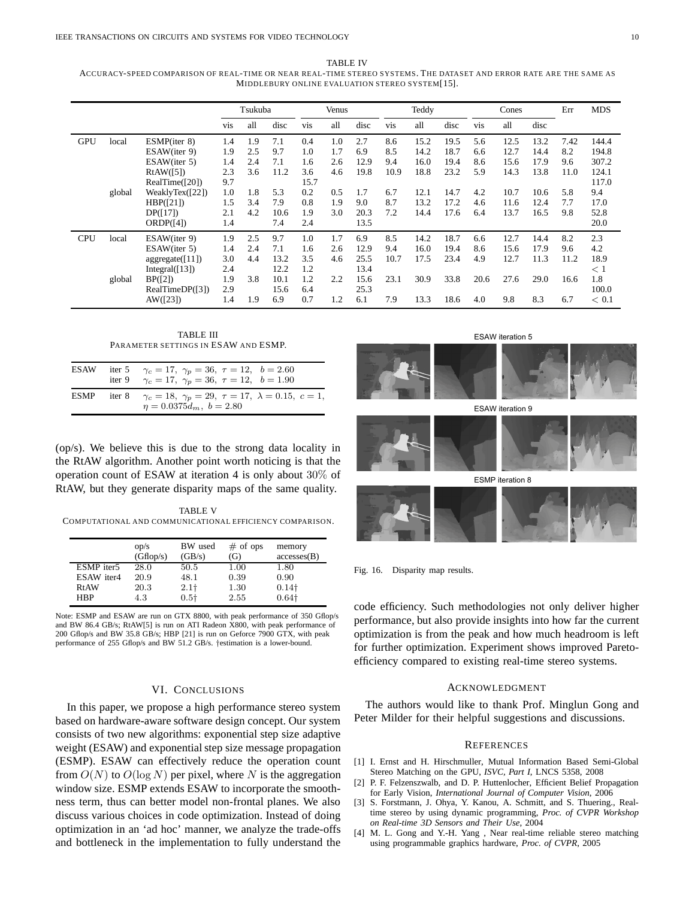|            |                 |                                                                                                                                    |                                                             | Tsukuba                                       |                                                        | Teddy<br>Venus                                               |                                               | Cones                                                    |                                                |                                                      | Err                                                  | <b>MDS</b>                                    |                                                      |                                                      |                                                 |                                                                          |
|------------|-----------------|------------------------------------------------------------------------------------------------------------------------------------|-------------------------------------------------------------|-----------------------------------------------|--------------------------------------------------------|--------------------------------------------------------------|-----------------------------------------------|----------------------------------------------------------|------------------------------------------------|------------------------------------------------------|------------------------------------------------------|-----------------------------------------------|------------------------------------------------------|------------------------------------------------------|-------------------------------------------------|--------------------------------------------------------------------------|
|            |                 |                                                                                                                                    | vis                                                         | all                                           | disc                                                   | vis                                                          | all                                           | disc                                                     | vis                                            | all                                                  | disc                                                 | vis                                           | all                                                  | disc                                                 |                                                 |                                                                          |
| <b>GPU</b> | local<br>global | ESMP(iter 8)<br>ESAW(iter 9)<br>ESAW(iter 5)<br>RtAW([5])<br>RealTime([20])<br>WeaklyTex([22])<br>HBP([21])<br>DP(I7)<br>ORDP([4]) | 1.4<br>1.9<br>1.4<br>2.3<br>9.7<br>1.0<br>1.5<br>2.1<br>1.4 | 1.9<br>2.5<br>2.4<br>3.6<br>1.8<br>3.4<br>4.2 | 7.1<br>9.7<br>7.1<br>11.2<br>5.3<br>7.9<br>10.6<br>7.4 | 0.4<br>1.0<br>1.6<br>3.6<br>15.7<br>0.2<br>0.8<br>1.9<br>2.4 | 1.0<br>1.7<br>2.6<br>4.6<br>0.5<br>1.9<br>3.0 | 2.7<br>6.9<br>12.9<br>19.8<br>1.7<br>9.0<br>20.3<br>13.5 | 8.6<br>8.5<br>9.4<br>10.9<br>6.7<br>8.7<br>7.2 | 15.2<br>14.2<br>16.0<br>18.8<br>12.1<br>13.2<br>14.4 | 19.5<br>18.7<br>19.4<br>23.2<br>14.7<br>17.2<br>17.6 | 5.6<br>6.6<br>8.6<br>5.9<br>4.2<br>4.6<br>6.4 | 12.5<br>12.7<br>15.6<br>14.3<br>10.7<br>11.6<br>13.7 | 13.2<br>14.4<br>17.9<br>13.8<br>10.6<br>12.4<br>16.5 | 7.42<br>8.2<br>9.6<br>11.0<br>5.8<br>7.7<br>9.8 | 144.4<br>194.8<br>307.2<br>124.1<br>117.0<br>9.4<br>17.0<br>52.8<br>20.0 |
| <b>CPU</b> | local<br>global | ESAW(iter 9)<br>ESAW(iter 5)<br>aggregate([11])<br>Integral( $[13]$ )<br>BP([2])<br>RealTimeDP([3])<br>AW(I23])                    | 1.9<br>1.4<br>3.0<br>2.4<br>1.9<br>2.9<br>1.4               | 2.5<br>2.4<br>4.4<br>3.8<br>1.9               | 9.7<br>7.1<br>13.2<br>12.2<br>10.1<br>15.6<br>6.9      | 1.0<br>1.6<br>3.5<br>1.2<br>1.2<br>6.4<br>0.7                | 1.7<br>2.6<br>4.6<br>2.2<br>1.2               | 6.9<br>12.9<br>25.5<br>13.4<br>15.6<br>25.3<br>6.1       | 8.5<br>9.4<br>10.7<br>23.1<br>7.9              | 14.2<br>16.0<br>17.5<br>30.9<br>13.3                 | 18.7<br>19.4<br>23.4<br>33.8<br>18.6                 | 6.6<br>8.6<br>4.9<br>20.6<br>4.0              | 12.7<br>15.6<br>12.7<br>27.6<br>9.8                  | 14.4<br>17.9<br>11.3<br>29.0<br>8.3                  | 8.2<br>9.6<br>11.2<br>16.6<br>6.7               | 2.3<br>4.2<br>18.9<br>< 1<br>1.8<br>100.0<br>< 0.1                       |

TABLE III PARAMETER SETTINGS IN ESAW AND ESMP.

| ESAW | iter 5 $\gamma_c = 17$ , $\gamma_p = 36$ , $\tau = 12$ , $b = 2.60$<br>iter 9 $\gamma_c = 17$ , $\gamma_p = 36$ , $\tau = 12$ , $b = 1.90$ |
|------|--------------------------------------------------------------------------------------------------------------------------------------------|
| ESMP | iter 8 $\gamma_c = 18$ , $\gamma_p = 29$ , $\tau = 17$ , $\lambda = 0.15$ , $c = 1$ ,<br>$\eta = 0.0375d_m, b = 2.80$                      |

(op/s). We believe this is due to the strong data locality in the RtAW algorithm. Another point worth noticing is that the operation count of ESAW at iteration 4 is only about 30% of RtAW, but they generate disparity maps of the same quality.

TABLE V COMPUTATIONAL AND COMMUNICATIONAL EFFICIENCY COMPARISON.

|             | op/s<br>(Gflop/s) | BW used<br>(GB/s) | $#$ of ops<br>(G) | memory<br>accesses(B) |
|-------------|-------------------|-------------------|-------------------|-----------------------|
| ESMP iter5  | 28.0              | 50.5              | 1.00              | 1.80                  |
| ESAW iter4  | 20.9              | 48.1              | 0.39              | 0.90                  |
| <b>RtAW</b> | 20.3              | $2.1\dagger$      | 1.30              | $0.14\dagger$         |
| <b>HBP</b>  | 4.3               | $0.5\dagger$      | 2.55              | $0.64\dagger$         |

Note: ESMP and ESAW are run on GTX 8800, with peak performance of 350 Gflop/s and BW 86.4 GB/s; RtAW[5] is run on ATI Radeon X800, with peak performance of 200 Gflop/s and BW 35.8 GB/s; HBP [21] is run on Geforce 7900 GTX, with peak performance of 255 Gflop/s and BW 51.2 GB/s. †estimation is a lower-bound.

### VI. CONCLUSIONS

In this paper, we propose a high performance stereo system based on hardware-aware software design concept. Our system consists of two new algorithms: exponential step size adaptive weight (ESAW) and exponential step size message propagation (ESMP). ESAW can effectively reduce the operation count from  $O(N)$  to  $O(\log N)$  per pixel, where N is the aggregation window size. ESMP extends ESAW to incorporate the smoothness term, thus can better model non-frontal planes. We also discuss various choices in code optimization. Instead of doing optimization in an 'ad hoc' manner, we analyze the trade-offs and bottleneck in the implementation to fully understand the



ESAW iteration 9



ESMP iteration 8



Fig. 16. Disparity map results.

code efficiency. Such methodologies not only deliver higher performance, but also provide insights into how far the current optimization is from the peak and how much headroom is left for further optimization. Experiment shows improved Paretoefficiency compared to existing real-time stereo systems.

#### ACKNOWLEDGMENT

The authors would like to thank Prof. Minglun Gong and Peter Milder for their helpful suggestions and discussions.

#### **REFERENCES**

- [1] I. Ernst and H. Hirschmuller, Mutual Information Based Semi-Global Stereo Matching on the GPU, *ISVC, Part I*, LNCS 5358, 2008
- [2] P. F. Felzenszwalb, and D. P. Huttenlocher, Efficient Belief Propagation for Early Vision, *International Journal of Computer Vision*, 2006
- [3] S. Forstmann, J. Ohya, Y. Kanou, A. Schmitt, and S. Thuering., Realtime stereo by using dynamic programming, *Proc. of CVPR Workshop on Real-time 3D Sensors and Their Use*, 2004
- [4] M. L. Gong and Y.-H. Yang , Near real-time reliable stereo matching using programmable graphics hardware, *Proc. of CVPR*, 2005